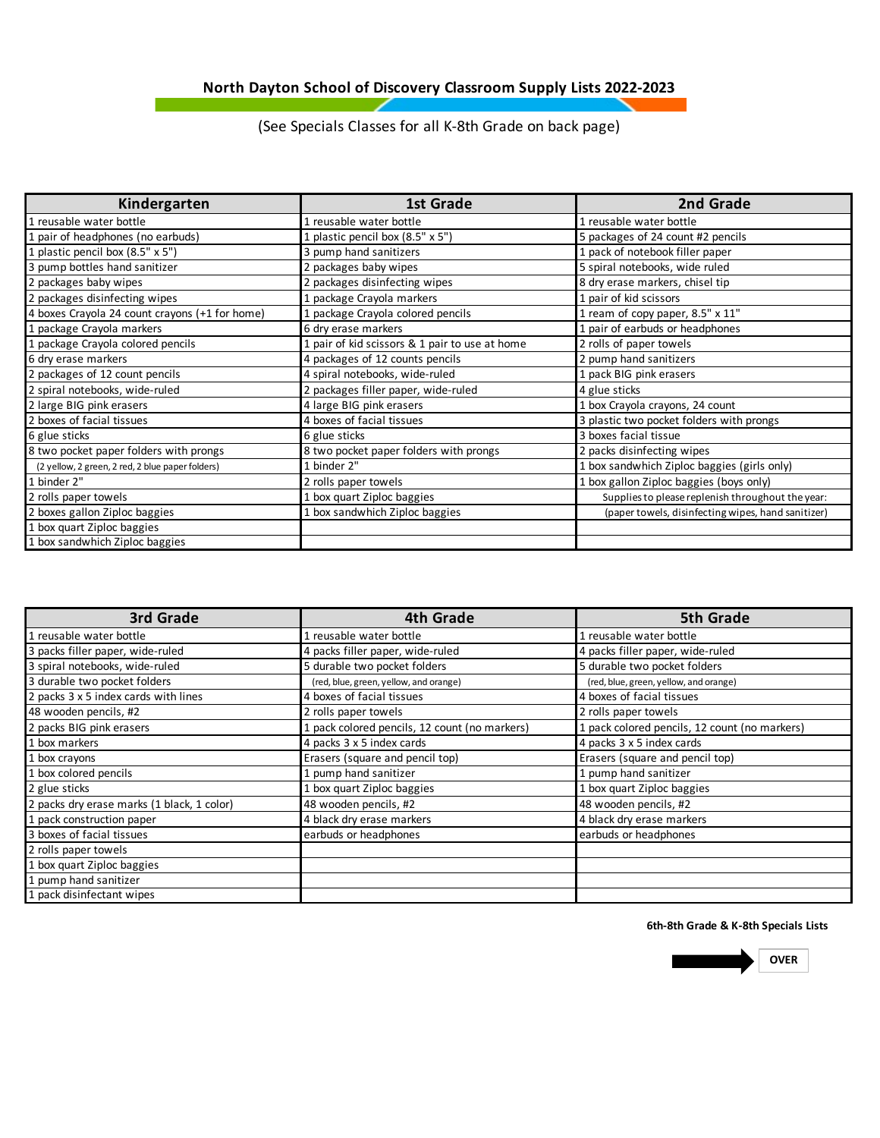# **North Dayton School of Discovery Classroom Supply Lists 2022-2023**

# (See Specials Classes for all K-8th Grade on back page)

| Kindergarten                                     | 1st Grade                                      | 2nd Grade                                          |
|--------------------------------------------------|------------------------------------------------|----------------------------------------------------|
| 1 reusable water bottle                          | 1 reusable water bottle                        | 1 reusable water bottle                            |
| 1 pair of headphones (no earbuds)                | 1 plastic pencil box (8.5" x 5")               | 5 packages of 24 count #2 pencils                  |
| 1 plastic pencil box (8.5" x 5")                 | 3 pump hand sanitizers                         | 1 pack of notebook filler paper                    |
| 3 pump bottles hand sanitizer                    | 2 packages baby wipes                          | 5 spiral notebooks, wide ruled                     |
| 2 packages baby wipes                            | 2 packages disinfecting wipes                  | 8 dry erase markers, chisel tip                    |
| 2 packages disinfecting wipes                    | 1 package Crayola markers                      | 1 pair of kid scissors                             |
| 4 boxes Crayola 24 count crayons (+1 for home)   | 1 package Crayola colored pencils              | 1 ream of copy paper, 8.5" x 11"                   |
| 1 package Crayola markers                        | 6 dry erase markers                            | 1 pair of earbuds or headphones                    |
| 1 package Crayola colored pencils                | 1 pair of kid scissors & 1 pair to use at home | 2 rolls of paper towels                            |
| 6 dry erase markers                              | 4 packages of 12 counts pencils                | 2 pump hand sanitizers                             |
| 2 packages of 12 count pencils                   | 4 spiral notebooks, wide-ruled                 | 1 pack BIG pink erasers                            |
| 2 spiral notebooks, wide-ruled                   | 2 packages filler paper, wide-ruled            | 4 glue sticks                                      |
| 2 large BIG pink erasers                         | 4 large BIG pink erasers                       | 1 box Crayola crayons, 24 count                    |
| 2 boxes of facial tissues                        | 4 boxes of facial tissues                      | 3 plastic two pocket folders with prongs           |
| 6 glue sticks                                    | 6 glue sticks                                  | 3 boxes facial tissue                              |
| 8 two pocket paper folders with prongs           | 8 two pocket paper folders with prongs         | 2 packs disinfecting wipes                         |
| (2 yellow, 2 green, 2 red, 2 blue paper folders) | 1 binder 2"                                    | 1 box sandwhich Ziploc baggies (girls only)        |
| 1 binder 2"                                      | 2 rolls paper towels                           | 1 box gallon Ziploc baggies (boys only)            |
| 2 rolls paper towels                             | 1 box quart Ziploc baggies                     | Supplies to please replenish throughout the year:  |
| 2 boxes gallon Ziploc baggies                    | 1 box sandwhich Ziploc baggies                 | (paper towels, disinfecting wipes, hand sanitizer) |
| 1 box quart Ziploc baggies                       |                                                |                                                    |
| 1 box sandwhich Ziploc baggies                   |                                                |                                                    |

| 3rd Grade                                  | <b>4th Grade</b>                              | <b>5th Grade</b>                              |
|--------------------------------------------|-----------------------------------------------|-----------------------------------------------|
| 1 reusable water bottle                    | 1 reusable water bottle                       | 1 reusable water bottle                       |
| 3 packs filler paper, wide-ruled           | 4 packs filler paper, wide-ruled              | 4 packs filler paper, wide-ruled              |
| 3 spiral notebooks, wide-ruled             | 5 durable two pocket folders                  | 5 durable two pocket folders                  |
| 3 durable two pocket folders               | (red, blue, green, yellow, and orange)        | (red, blue, green, yellow, and orange)        |
| 2 packs 3 x 5 index cards with lines       | 4 boxes of facial tissues                     | 4 boxes of facial tissues                     |
| 48 wooden pencils, #2                      | 2 rolls paper towels                          | 2 rolls paper towels                          |
| 2 packs BIG pink erasers                   | 1 pack colored pencils, 12 count (no markers) | 1 pack colored pencils, 12 count (no markers) |
| 1 box markers                              | 4 packs 3 x 5 index cards                     | 4 packs 3 x 5 index cards                     |
| 1 box crayons                              | Erasers (square and pencil top)               | Erasers (square and pencil top)               |
| 1 box colored pencils                      | 1 pump hand sanitizer                         | 1 pump hand sanitizer                         |
| 2 glue sticks                              | 1 box quart Ziploc baggies                    | 1 box quart Ziploc baggies                    |
| 2 packs dry erase marks (1 black, 1 color) | 48 wooden pencils, #2                         | 48 wooden pencils, #2                         |
| 1 pack construction paper                  | 4 black dry erase markers                     | 4 black dry erase markers                     |
| 3 boxes of facial tissues                  | earbuds or headphones                         | earbuds or headphones                         |
| 2 rolls paper towels                       |                                               |                                               |
| 1 box quart Ziploc baggies                 |                                               |                                               |
| . pump hand sanitizer                      |                                               |                                               |
| 1 pack disinfectant wipes                  |                                               |                                               |

#### **6th-8th Grade & K-8th Specials Lists**